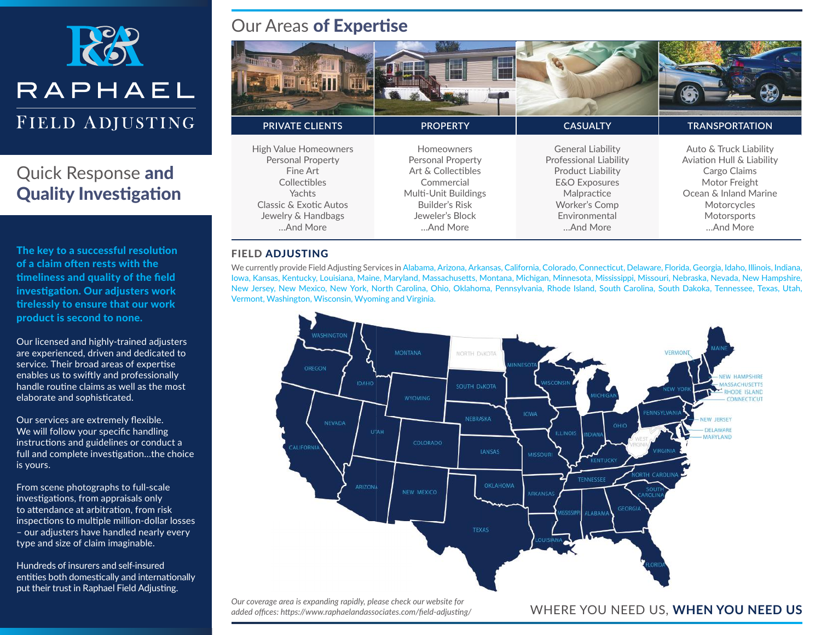

## Quick Response and **Quality Investigation**

The key to a successful resolution of a claim often rests with the timeliness and quality of the field investigation. Our adjusters work tirelessly to ensure that our work product is second to none.

Our licensed and highly-trained adjusters are experienced, driven and dedicated to service. Their broad areas of expertise enables us to swiftly and professionally handle routine claims as well as the most elaborate and sophisticated.

Our services are extremely flexible. We will follow your specific handling instructions and guidelines or conduct a full and complete investigation...the choice is yours.

From scene photographs to full-scale investigations, from appraisals only to attendance at arbitration, from risk inspections to multiple million-dollar losses – our adjusters have handled nearly every type and size of claim imaginable.

Hundreds of insurers and self-insured entities both domestically and internationally put their trust in Raphael Field Adjusting.

#### Our Areas of Expertise

| <b>PRIVATE CLIENTS</b>                                                                                                                                     | <b>PROPERTY</b>                                                                                                                                     | <b>CASUALTY</b>                                                                                                                                                                | <b>TRANSPORTATION</b>                                                                                                                                   |
|------------------------------------------------------------------------------------------------------------------------------------------------------------|-----------------------------------------------------------------------------------------------------------------------------------------------------|--------------------------------------------------------------------------------------------------------------------------------------------------------------------------------|---------------------------------------------------------------------------------------------------------------------------------------------------------|
| <b>High Value Homeowners</b><br><b>Personal Property</b><br>Fine Art<br>Collectibles<br>Yachts<br>Classic & Exotic Autos<br>Jewelry & Handbags<br>And More | Homeowners<br><b>Personal Property</b><br>Art & Collectibles<br>Commercial<br>Multi-Unit Buildings<br>Builder's Risk<br>Jeweler's Block<br>And More | <b>General Liability</b><br><b>Professional Liability</b><br><b>Product Liability</b><br><b>E&amp;O</b> Exposures<br>Malpractice<br>Worker's Comp<br>Environmental<br>And More | Auto & Truck Liability<br>Aviation Hull & Liability<br>Cargo Claims<br>Motor Freight<br>Ocean & Inland Marine<br>Motorcycles<br>Motorsports<br>And More |

#### FIELD ADJUSTING

We currently provide Field Adjusting Services in Alabama, Arizona, Arkansas, California, Colorado, Connecticut, Delaware, Florida, Georgia, Idaho, Illinois, Indiana, Iowa, Kansas, Kentucky, Louisiana, Maine, Maryland, Massachusetts, Montana, Michigan, Minnesota, Mississippi, Missouri, Nebraska, Nevada, New Hampshire, New Jersey, New Mexico, New York, North Carolina, Ohio, Oklahoma, Pennsylvania, Rhode Island, South Carolina, South Dakoka, Tennessee, Texas, Utah, Vermont, Washington, Wisconsin, Wyoming and Virginia.



*Our coverage area is expanding rapidly, please check our website for added offices: https://www.raphaelandassociates.com/field-adjusting/* 

WHERE YOU NEED US, **WHEN YOU NEED US**